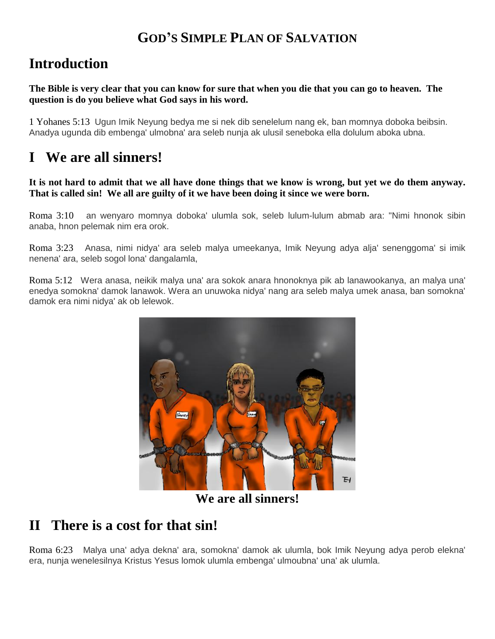## **GOD'S SIMPLE PLAN OF SALVATION**

# **Introduction**

**The Bible is very clear that you can know for sure that when you die that you can go to heaven. The question is do you believe what God says in his word.**

1 Yohanes 5:13 Ugun Imik Neyung bedya me si nek dib senelelum nang ek, ban momnya doboka beibsin. Anadya ugunda dib embenga' ulmobna' ara seleb nunja ak ulusil seneboka ella dolulum aboka ubna.

# **I We are all sinners!**

#### **It is not hard to admit that we all have done things that we know is wrong, but yet we do them anyway. That is called sin! We all are guilty of it we have been doing it since we were born.**

Roma 3:10 an wenyaro momnya doboka' ulumla sok, seleb lulum-lulum abmab ara: "Nimi hnonok sibin anaba, hnon pelemak nim era orok.

Roma 3:23 Anasa, nimi nidya' ara seleb malya umeekanya, Imik Neyung adya alja' senenggoma' si imik nenena' ara, seleb sogol lona' dangalamla,

Roma 5:12 Wera anasa, neikik malya una' ara sokok anara hnonoknya pik ab lanawookanya, an malya una' enedya somokna' damok lanawok. Wera an unuwoka nidya' nang ara seleb malya umek anasa, ban somokna' damok era nimi nidya' ak ob lelewok.



**We are all sinners!**

### **II There is a cost for that sin!**

Roma 6:23 Malya una' adya dekna' ara, somokna' damok ak ulumla, bok Imik Neyung adya perob elekna' era, nunja wenelesilnya Kristus Yesus lomok ulumla embenga' ulmoubna' una' ak ulumla.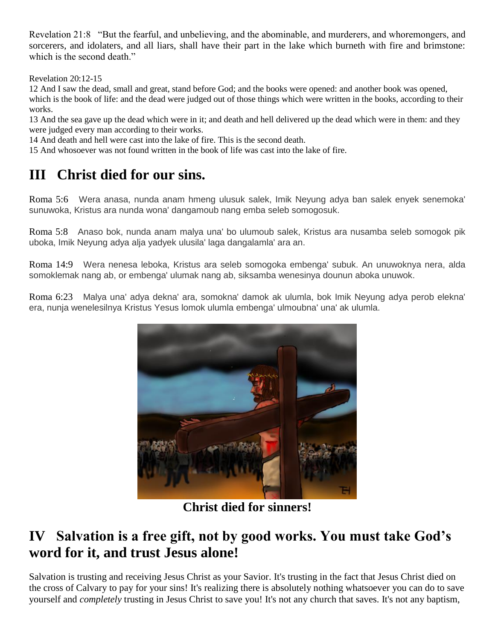Revelation 21:8 "But the fearful, and unbelieving, and the abominable, and murderers, and whoremongers, and sorcerers, and idolaters, and all liars, shall have their part in the lake which burneth with fire and brimstone: which is the second death."

Revelation 20:12-15

12 And I saw the dead, small and great, stand before God; and the books were opened: and another book was opened, which is the book of life: and the dead were judged out of those things which were written in the books, according to their works.

13 And the sea gave up the dead which were in it; and death and hell delivered up the dead which were in them: and they were judged every man according to their works.

14 And death and hell were cast into the lake of fire. This is the second death.

15 And whosoever was not found written in the book of life was cast into the lake of fire.

# **III Christ died for our sins.**

Roma 5:6 Wera anasa, nunda anam hmeng ulusuk salek, Imik Neyung adya ban salek enyek senemoka' sunuwoka, Kristus ara nunda wona' dangamoub nang emba seleb somogosuk.

Roma 5:8 Anaso bok, nunda anam malya una' bo ulumoub salek, Kristus ara nusamba seleb somogok pik uboka, Imik Neyung adya alja yadyek ulusila' laga dangalamla' ara an.

Roma 14:9 Wera nenesa leboka, Kristus ara seleb somogoka embenga' subuk. An unuwoknya nera, alda somoklemak nang ab, or embenga' ulumak nang ab, siksamba wenesinya dounun aboka unuwok.

Roma 6:23 Malya una' adya dekna' ara, somokna' damok ak ulumla, bok Imik Neyung adya perob elekna' era, nunja wenelesilnya Kristus Yesus lomok ulumla embenga' ulmoubna' una' ak ulumla.



**Christ died for sinners!**

# **IV Salvation is a free gift, not by good works. You must take God's word for it, and trust Jesus alone!**

Salvation is trusting and receiving Jesus Christ as your Savior. It's trusting in the fact that Jesus Christ died on the cross of Calvary to pay for your sins! It's realizing there is absolutely nothing whatsoever you can do to save yourself and *completely* trusting in Jesus Christ to save you! It's not any church that saves. It's not any baptism,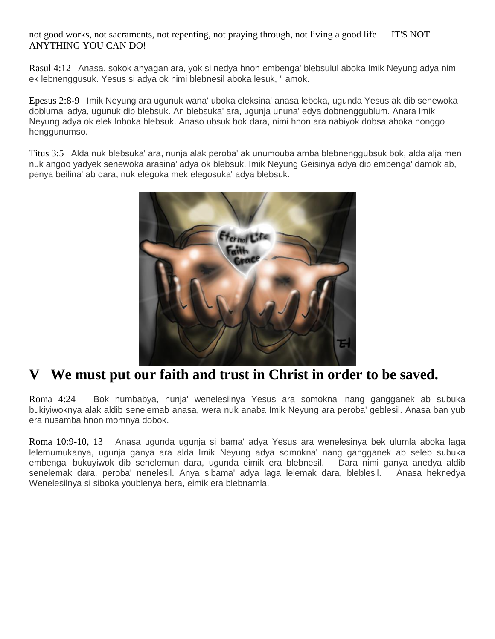not good works, not sacraments, not repenting, not praying through, not living a good life — IT'S NOT ANYTHING YOU CAN DO!

Rasul 4:12 Anasa, sokok anyagan ara, yok si nedya hnon embenga' blebsulul aboka Imik Neyung adya nim ek lebnenggusuk. Yesus si adya ok nimi blebnesil aboka lesuk, " amok.

Epesus 2:8-9 Imik Neyung ara ugunuk wana' uboka eleksina' anasa leboka, ugunda Yesus ak dib senewoka dobluma' adya, ugunuk dib blebsuk. An blebsuka' ara, ugunja ununa' edya dobnenggublum. Anara Imik Neyung adya ok elek loboka blebsuk. Anaso ubsuk bok dara, nimi hnon ara nabiyok dobsa aboka nonggo henggunumso.

Titus 3:5 Alda nuk blebsuka' ara, nunja alak peroba' ak unumouba amba blebnenggubsuk bok, alda alja men nuk angoo yadyek senewoka arasina' adya ok blebsuk. Imik Neyung Geisinya adya dib embenga' damok ab, penya beilina' ab dara, nuk elegoka mek elegosuka' adya blebsuk.



### **V We must put our faith and trust in Christ in order to be saved.**

Roma 4:24 Bok numbabya, nunja' wenelesilnya Yesus ara somokna' nang gangganek ab subuka bukiyiwoknya alak aldib senelemab anasa, wera nuk anaba Imik Neyung ara peroba' geblesil. Anasa ban yub era nusamba hnon momnya dobok.

Roma 10:9-10, 13 Anasa ugunda ugunja si bama' adya Yesus ara wenelesinya bek ulumla aboka laga lelemumukanya, ugunja ganya ara alda Imik Neyung adya somokna' nang gangganek ab seleb subuka embenga' bukuyiwok dib senelemun dara, ugunda eimik era blebnesil. Dara nimi ganya anedya aldib senelemak dara, peroba' nenelesil. Anya sibama' adya laga lelemak dara, bleblesil. Anasa heknedya Wenelesilnya si siboka youblenya bera, eimik era blebnamla.